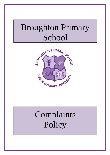# Broughton Primary **School**



# Complaints Policy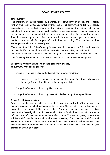# **COMPLAINTS POLICY**

#### **Introduction:**

The majority of issues raised by parents, the community or pupils, are concerns rather than complaints. Broughton Primary School is committed to taking concerns seriously, at the earliest stage, in the hope of keeping the number of formal complaints to a minimum and without needing formal procedures. However, depending on the nature of the complaint, you may wish or be asked to follow the school's formal complaints procedure. For the school to be able to investigate a complaint, it needs to be made within one year of the incident occurring. If a complaint is older than a year it will not be investigated.

The prime aim of the School's policy is to resolve the complaint as fairly and speedily as possible. Formal complaints will be dealt with in a sensitive, impartial and confidential manner. Malicious complaints may incur appropriate action by the school.

The following details outline the stages that can be used to resolve complaints.

#### **Broughton Primary School Policy has four main stages.**

In summary they are as follows: -

- Stage 1 A concern is raised informally with a staff member.
	- Stage 2 Formal complaint is heard by the Foundation Phase Manager / Keystage 2 Asissitant Headteacher as appropriate..
- Stage 3 Complaint is heard by Headteacher.
- Stage 4 Complaint is heard by Governing Body's Complaints Appeal Panel.

#### **Stage 1 – Raising a concern**

Concerns can be raised with the school at any time and will often generate an immediate response, which will resolve the concern. The school requests that parents make their first contact the class teacher,. On some occasions the concern raised may require investigation, or discussion with others, in which case you will receive an informal but informed response within a day or two. The vast majority of concerns will be satisfactorily dealt with in this way. However, if you are not satisfied with the result at stage 1, please write to or call the school within 10 school working days and state what you would like the school to do. The school will then look at your complaint at the next stage.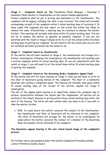**Stage 2 – Complaint heard by the** Foundation Phase Manager / Keystage 2 Assistant Head teacher or Headteacher as the concern deems appropriate

Formal complaints shall be put in writing and addressed to the Headteacher. The complaint will be logged, including the date it was received. The school will normally acknowledge receipt of the complaint within 2 school working days of receiving it. In many cases this response will also report on the action the school has taken to resolve the issue. Alternatively, a meeting may be convened to discuss the matter further. This meeting will normally take place within 10 school working days. The aim will be to resolve the matter as speedily as possible. However, if you are not satisfied with the result at stage 2 please write to or call the school within 10 school working days of getting our response. You will need to tell the school why you are still not satisfied and what you would like the school to do.

### **Stage 3 – Complaint heard by Headteacher**

If the matter has not been resolved at Stage 2, the Headteacher will arrange for a further investigation. Following the investigation, the Headteacher will normally give a written response within 10 school working days. If you are dissatisfied with the result at stage 3, you will need to let the school know within 10 school working days of getting the response.

### **Stage 4 – Complaint heard by the Governing Body's Complaints Appeal Panel**

If the matter has still not been resolved at Stage 3, then you will need to write to the Chair of Governors giving details of the complaint. The Chair or a nominated Governor will convene a complaints panel. The hearing will normally take place within 10 school working days of the receipt of the written request for Stage 4 investigation.

The aim of the Appeal panel hearing is to impartially resolve the complaint and to achieve reconciliation between the school and the complainant. All parties will be notified of the Panel's decision in writing within three school working days after the date of the hearing. The letter will also contain what you need to do if you wish to take the matter further.

 **N.B.** In cases where the matter concerns the conduct of the Headteacher, the Headteacher and Chair of Governors will be informed of the complaint. The Chair of Governors will arrange for the matter to be investigated. In cases where the matter concerns the conduct of a member of the Governing Body the member will be informed of the complaint.

## **The Governors appeal hearing is the last school-based stage of the complaints process.**

For further advice and guidance about the school's Complaints Procedure please contact Flintshire County Council.